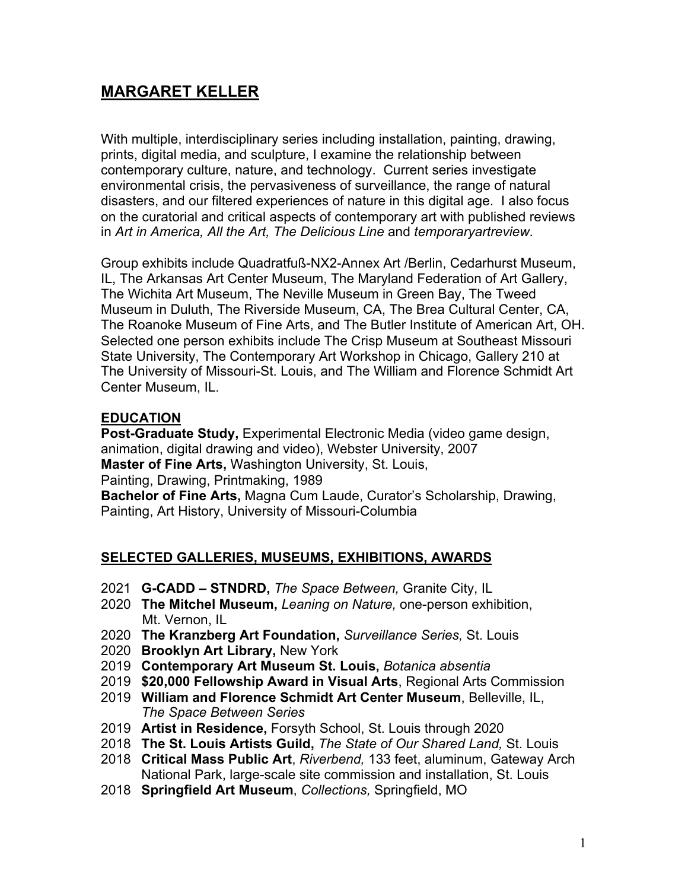# **MARGARET KELLER**

With multiple, interdisciplinary series including installation, painting, drawing, prints, digital media, and sculpture, I examine the relationship between contemporary culture, nature, and technology. Current series investigate environmental crisis, the pervasiveness of surveillance, the range of natural disasters, and our filtered experiences of nature in this digital age. I also focus on the curatorial and critical aspects of contemporary art with published reviews in *Art in America, All the Art, The Delicious Line* and *temporaryartreview*.

Group exhibits include Quadratfuß-NX2-Annex Art /Berlin, Cedarhurst Museum, IL, The Arkansas Art Center Museum, The Maryland Federation of Art Gallery, The Wichita Art Museum, The Neville Museum in Green Bay, The Tweed Museum in Duluth, The Riverside Museum, CA, The Brea Cultural Center, CA, The Roanoke Museum of Fine Arts, and The Butler Institute of American Art, OH. Selected one person exhibits include The Crisp Museum at Southeast Missouri State University, The Contemporary Art Workshop in Chicago, Gallery 210 at The University of Missouri-St. Louis, and The William and Florence Schmidt Art Center Museum, IL.

### **EDUCATION**

Post-Graduate Study, Experimental Electronic Media (video game design, animation, digital drawing and video), Webster University, 2007 **Master of Fine Arts,** Washington University, St. Louis, Painting, Drawing, Printmaking, 1989 **Bachelor of Fine Arts,** Magna Cum Laude, Curator's Scholarship, Drawing,

Painting, Art History, University of Missouri-Columbia

#### **SELECTED GALLERIES, MUSEUMS, EXHIBITIONS, AWARDS**

- 2021 **G-CADD – STNDRD,** *The Space Between,* Granite City, IL
- 2020 **The Mitchel Museum,** *Leaning on Nature,* one-person exhibition, Mt. Vernon, IL
- 2020 **The Kranzberg Art Foundation,** *Surveillance Series,* St. Louis
- 2020 **Brooklyn Art Library,** New York
- 2019 **Contemporary Art Museum St. Louis,** *Botanica absentia*
- 2019 **\$20,000 Fellowship Award in Visual Arts**, Regional Arts Commission
- 2019 **William and Florence Schmidt Art Center Museum**, Belleville, IL, *The Space Between Series*
- 2019 **Artist in Residence,** Forsyth School, St. Louis through 2020
- 2018 **The St. Louis Artists Guild,** *The State of Our Shared Land,* St. Louis
- 2018 **Critical Mass Public Art**, *Riverbend,* 133 feet, aluminum, Gateway Arch National Park, large-scale site commission and installation, St. Louis
- 2018 **Springfield Art Museum**, *Collections,* Springfield, MO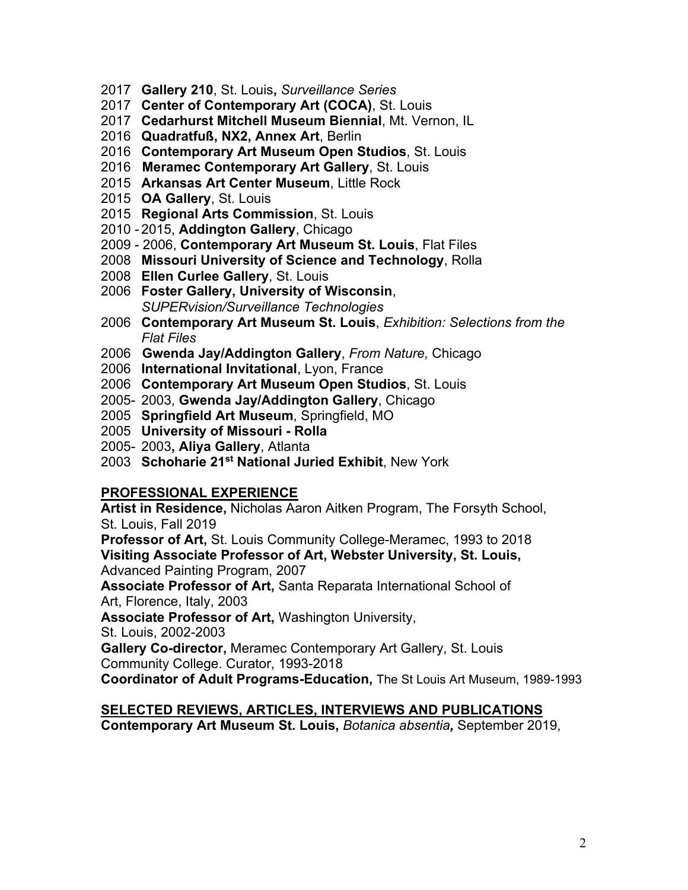- 2017 **Gallery 210**, St. Louis**,** *Surveillance Series*
- 2017 **Center of Contemporary Art (COCA)**, St. Louis
- 2017 **Cedarhurst Mitchell Museum Biennial**, Mt. Vernon, IL
- 2016 **Quadratfuß, NX2, Annex Art**, Berlin
- 2016 **Contemporary Art Museum Open Studios**, St. Louis
- 2016 **Meramec Contemporary Art Gallery**, St. Louis
- 2015 **Arkansas Art Center Museum**, Little Rock
- 2015 **OA Gallery**, St. Louis
- 2015 **Regional Arts Commission**, St. Louis
- 2010 2015, **Addington Gallery**, Chicago
- 2009 2006, **Contemporary Art Museum St. Louis**, Flat Files
- 2008 **Missouri University of Science and Technology**, Rolla
- 2008 **Ellen Curlee Gallery**, St. Louis
- 2006 **Foster Gallery, University of Wisconsin**, *SUPERvision/Surveillance Technologies*
- 2006 **Contemporary Art Museum St. Louis**, *Exhibition: Selections from the Flat Files*
- 2006 **Gwenda Jay/Addington Gallery**, *From Nature,* Chicago
- 2006 **International Invitational**, Lyon, France
- 2006 **Contemporary Art Museum Open Studios**, St. Louis
- 2005- 2003, **Gwenda Jay/Addington Gallery**, Chicago
- 2005 **Springfield Art Museum**, Springfield, MO
- 2005 **University of Missouri - Rolla**
- 2005- 2003**, Aliya Gallery**, Atlanta
- 2003 **Schoharie 21st National Juried Exhibit**, New York

#### **PROFESSIONAL EXPERIENCE**

**Artist in Residence,** Nicholas Aaron Aitken Program, The Forsyth School, St. Louis, Fall 2019

**Professor of Art,** St. Louis Community College-Meramec, 1993 to 2018 **Visiting Associate Professor of Art, Webster University, St. Louis,**  Advanced Painting Program, 2007

**Associate Professor of Art,** Santa Reparata International School of Art, Florence, Italy, 2003

**Associate Professor of Art,** Washington University,

St. Louis, 2002-2003

**Gallery Co-director,** Meramec Contemporary Art Gallery, St. Louis Community College. Curator, 1993-2018

**Coordinator of Adult Programs-Education,** The St Louis Art Museum, 1989-1993

### **SELECTED REVIEWS, ARTICLES, INTERVIEWS AND PUBLICATIONS Contemporary Art Museum St. Louis,** *Botanica absentia,* September 2019,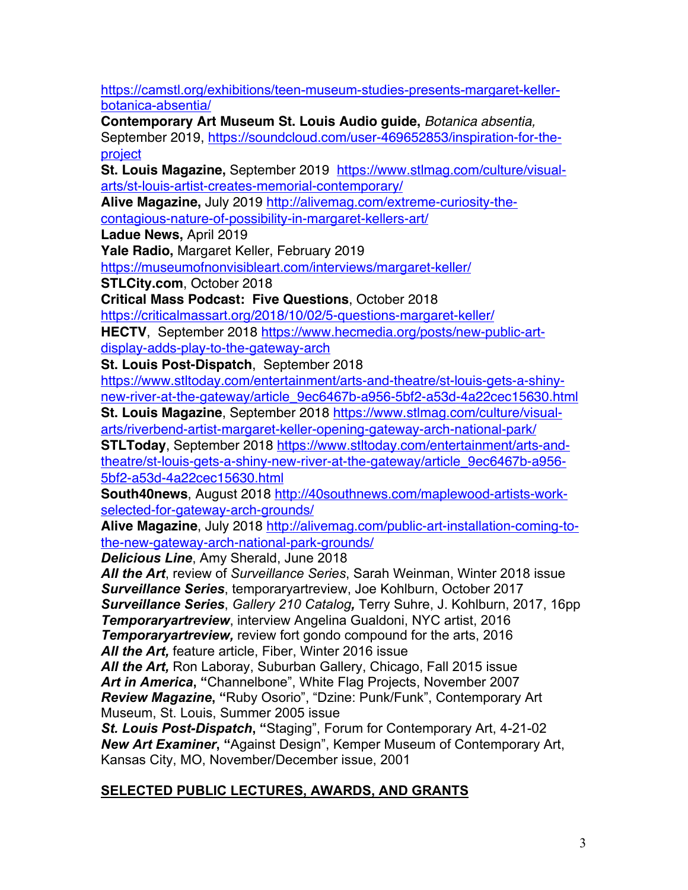https://camstl.org/exhibitions/teen-museum-studies-presents-margaret-kellerbotanica-absentia/

**Contemporary Art Museum St. Louis Audio guide,** *Botanica absentia,* 

September 2019, https://soundcloud.com/user-469652853/inspiration-for-theproject

**St. Louis Magazine,** September 2019 https://www.stlmag.com/culture/visualarts/st-louis-artist-creates-memorial-contemporary/

**Alive Magazine,** July 2019 http://alivemag.com/extreme-curiosity-thecontagious-nature-of-possibility-in-margaret-kellers-art/

**Ladue News,** April 2019

**Yale Radio,** Margaret Keller, February 2019

https://museumofnonvisibleart.com/interviews/margaret-keller/

**STLCity.com**, October 2018

**Critical Mass Podcast: Five Questions**, October 2018

https://criticalmassart.org/2018/10/02/5-questions-margaret-keller/ **HECTV**, September 2018 https://www.hecmedia.org/posts/new-public-artdisplay-adds-play-to-the-gateway-arch

**St. Louis Post-Dispatch**, September 2018

https://www.stltoday.com/entertainment/arts-and-theatre/st-louis-gets-a-shinynew-river-at-the-gateway/article\_9ec6467b-a956-5bf2-a53d-4a22cec15630.html

**St. Louis Magazine**, September 2018 https://www.stlmag.com/culture/visualarts/riverbend-artist-margaret-keller-opening-gateway-arch-national-park/

**STLToday**, September 2018 https://www.stltoday.com/entertainment/arts-andtheatre/st-louis-gets-a-shiny-new-river-at-the-gateway/article\_9ec6467b-a956- 5bf2-a53d-4a22cec15630.html

**South40news**, August 2018 http://40southnews.com/maplewood-artists-workselected-for-gateway-arch-grounds/

**Alive Magazine**, July 2018 http://alivemag.com/public-art-installation-coming-tothe-new-gateway-arch-national-park-grounds/

*Delicious Line*, Amy Sherald, June 2018

*All the Art*, review of *Surveillance Series*, Sarah Weinman, Winter 2018 issue *Surveillance Series*, temporaryartreview, Joe Kohlburn, October 2017 *Surveillance Series*, *Gallery 210 Catalog,* Terry Suhre, J. Kohlburn, 2017, 16pp *Temporaryartreview*, interview Angelina Gualdoni, NYC artist, 2016 *Temporaryartreview,* review fort gondo compound for the arts, 2016 *All the Art,* feature article, Fiber, Winter 2016 issue

*All the Art,* Ron Laboray, Suburban Gallery, Chicago, Fall 2015 issue *Art in America***, "**Channelbone", White Flag Projects, November 2007 *Review Magazine***, "**Ruby Osorio", "Dzine: Punk/Funk", Contemporary Art Museum, St. Louis, Summer 2005 issue

*St. Louis Post-Dispatch***, "**Staging", Forum for Contemporary Art, 4-21-02 *New Art Examiner***, "**Against Design", Kemper Museum of Contemporary Art, Kansas City, MO, November/December issue, 2001

# **SELECTED PUBLIC LECTURES, AWARDS, AND GRANTS**